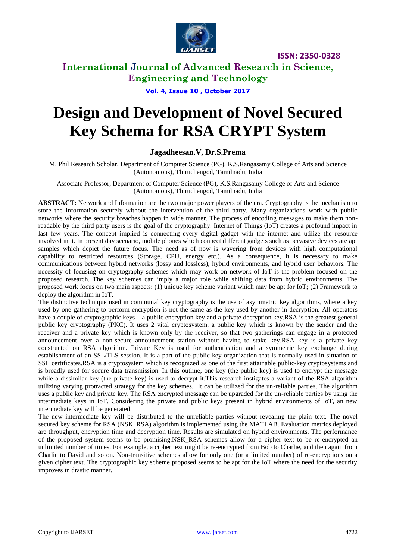

### **International Journal of Advanced Research in Science, Engineering and Technology**

**Vol. 4, Issue 10 , October 2017**

# **Design and Development of Novel Secured Key Schema for RSA CRYPT System**

### **Jagadheesan.V, Dr.S.Prema**

M. Phil Research Scholar, Department of Computer Science (PG), K.S.Rangasamy College of Arts and Science (Autonomous), Thiruchengod, Tamilnadu, India

Associate Professor, Department of Computer Science (PG), K.S.Rangasamy College of Arts and Science (Autonomous), Thiruchengod, Tamilnadu, India

**ABSTRACT:** Network and Information are the two major power players of the era. Cryptography is the mechanism to store the information securely without the intervention of the third party. Many organizations work with public networks where the security breaches happen in wide manner. The process of encoding messages to make them nonreadable by the third party users is the goal of the cryptography. Internet of Things (IoT) creates a profound impact in last few years. The concept implied is connecting every digital gadget with the internet and utilize the resource involved in it. In present day scenario, mobile phones which connect different gadgets such as pervasive devices are apt samples which depict the future focus. The need as of now is wavering from devices with high computational capability to restricted resources (Storage, CPU, energy etc.). As a consequence, it is necessary to make communications between hybrid networks (lossy and lossless), hybrid environments, and hybrid user behaviors. The necessity of focusing on cryptography schemes which may work on network of IoT is the problem focused on the proposed research. The key schemes can imply a major role while shifting data from hybrid environments. The proposed work focus on two main aspects: (1) unique key scheme variant which may be apt for IoT; (2) Framework to deploy the algorithm in IoT.

The distinctive technique used in communal key cryptography is the use of asymmetric key algorithms, where a key used by one gathering to perform encryption is not the same as the key used by another in decryption. All operators have a couple of cryptographic keys – a public encryption key and a private decryption key.RSA is the greatest general public key cryptography (PKC). It uses 2 vital cryptosystem, a public key which is known by the sender and the receiver and a private key which is known only by the receiver, so that two gatherings can engage in a protected announcement over a non-secure announcement station without having to stake key.RSA key is a private key constructed on RSA algorithm. Private Key is used for authentication and a symmetric key exchange during establishment of an SSL/TLS session. It is a part of the public key organization that is normally used in situation of SSL certificates.RSA is a cryptosystem which is recognized as one of the first attainable public-key cryptosystems and is broadly used for secure data transmission. In this outline, one key (the public key) is used to encrypt the message while a dissimilar key (the private key) is used to decrypt it.This research instigates a variant of the RSA algorithm utilizing varying protracted strategy for the key schemes. It can be utilized for the un-reliable parties. The algorithm uses a public key and private key. The RSA encrypted message can be upgraded for the un-reliable parties by using the intermediate keys in IoT. Considering the private and public keys present in hybrid environments of IoT, an new intermediate key will be generated.

The new intermediate key will be distributed to the unreliable parties without revealing the plain text. The novel secured key scheme for RSA (NSK\_RSA) algorithm is implemented using the MATLAB. Evaluation metrics deployed are throughput, encryption time and decryption time. Results are simulated on hybrid environments. The performance of the proposed system seems to be promising.NSK\_RSA schemes allow for a cipher text to be re-encrypted an unlimited number of times. For example, a cipher text might be re-encrypted from Bob to Charlie, and then again from Charlie to David and so on. Non-transitive schemes allow for only one (or a limited number) of re-encryptions on a given cipher text. The cryptographic key scheme proposed seems to be apt for the IoT where the need for the security improves in drastic manner.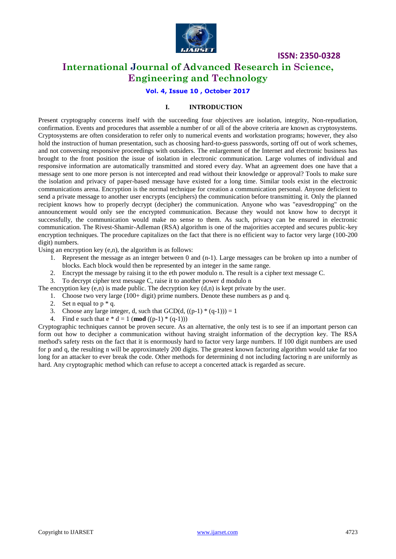

### **International Journal of Advanced Research in Science, Engineering and Technology**

### **Vol. 4, Issue 10 , October 2017**

### **I. INTRODUCTION**

Present cryptography concerns itself with the succeeding four objectives are isolation, integrity, Non-repudiation, confirmation. Events and procedures that assemble a number of or all of the above criteria are known as cryptosystems. Cryptosystems are often consideration to refer only to numerical events and workstation programs; however, they also hold the instruction of human presentation, such as choosing hard-to-guess passwords, sorting off out of work schemes, and not conversing responsive proceedings with outsiders. The enlargement of the Internet and electronic business has brought to the front position the issue of isolation in electronic communication. Large volumes of individual and responsive information are automatically transmitted and stored every day. What an agreement does one have that a message sent to one more person is not intercepted and read without their knowledge or approval? Tools to make sure the isolation and privacy of paper-based message have existed for a long time. Similar tools exist in the electronic communications arena. Encryption is the normal technique for creation a communication personal. Anyone deficient to send a private message to another user encrypts (enciphers) the communication before transmitting it. Only the planned recipient knows how to properly decrypt (decipher) the communication. Anyone who was "eavesdropping" on the announcement would only see the encrypted communication. Because they would not know how to decrypt it successfully, the communication would make no sense to them. As such, privacy can be ensured in electronic communication. The Rivest-Shamir-Adleman (RSA) algorithm is one of the majorities accepted and secures public-key encryption techniques. The procedure capitalizes on the fact that there is no efficient way to factor very large (100-200 digit) numbers.

Using an encryption key (e,n), the algorithm is as follows:

- 1. Represent the message as an integer between 0 and (n-1). Large messages can be broken up into a number of blocks. Each block would then be represented by an integer in the same range.
- 2. Encrypt the message by raising it to the eth power modulo n. The result is a cipher text message C.
- 3. To decrypt cipher text message C, raise it to another power d modulo n

The encryption key  $(e, n)$  is made public. The decryption key  $(d, n)$  is kept private by the user.

- 1. Choose two very large (100+ digit) prime numbers. Denote these numbers as p and q.
- 2. Set n equal to  $p * q$ .
- 3. Choose any large integer, d, such that  $GCD(d, ((p-1) * (q-1))) = 1$
- 4. Find e such that  $e * d = 1$  (**mod** ((p-1) \* (q-1)))

Cryptographic techniques cannot be proven secure. As an alternative, the only test is to see if an important person can form out how to decipher a communication without having straight information of the decryption key. The RSA method's safety rests on the fact that it is enormously hard to factor very large numbers. If 100 digit numbers are used for p and q, the resulting n will be approximately 200 digits. The greatest known factoring algorithm would take far too long for an attacker to ever break the code. Other methods for determining d not including factoring n are uniformly as hard. Any cryptographic method which can refuse to accept a concerted attack is regarded as secure.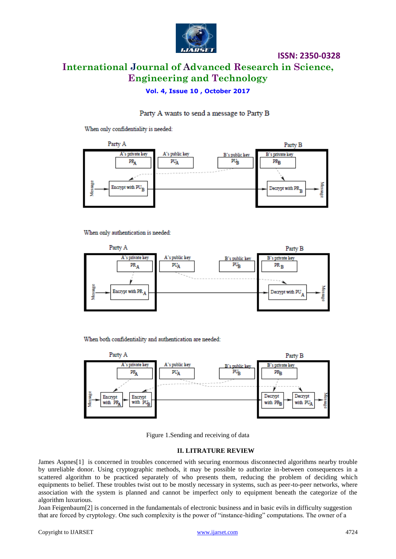

## **International Journal of Advanced Research in Science, Engineering and Technology**

**ISSN: 2350-0328**

### **Vol. 4, Issue 10 , October 2017**

### Party A wants to send a message to Party B

When only confidentiality is needed:



When only authentication is needed:



When both confidentiality and authentication are needed:



Figure 1.Sending and receiving of data

#### **II. LITRATURE REVIEW**

James Aspnes[1] is concerned in troubles concerned with securing enormous disconnected algorithms nearby trouble by unreliable donor. Using cryptographic methods, it may be possible to authorize in-between consequences in a scattered algorithm to be practiced separately of who presents them, reducing the problem of deciding which equipments to belief. These troubles twist out to be mostly necessary in systems, such as peer-to-peer networks, where association with the system is planned and cannot be imperfect only to equipment beneath the categorize of the algorithm luxurious.

[Joan Feigenbaum\[](http://cpsc.yale.edu/people/joan-feigenbaum)2] is concerned in the fundamentals of electronic business and in basic evils in difficulty suggestion that are forced by cryptology. One such complexity is the power of "instance-hiding" computations. The owner of a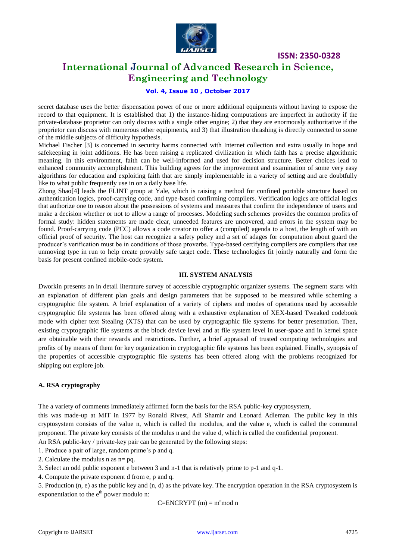

### **International Journal of Advanced Research in Science, Engineering and Technology**

### **Vol. 4, Issue 10 , October 2017**

secret database uses the better dispensation power of one or more additional equipments without having to expose the record to that equipment. It is established that 1) the instance-hiding computations are imperfect in authority if the private-database proprietor can only discuss with a single other engine; 2) that they are enormously authoritative if the proprietor can discuss with numerous other equipments, and 3) that illustration thrashing is directly connected to some of the middle subjects of difficulty hypothesis.

[Michael Fischer \[](http://cpsc.yale.edu/people/michael-fischer)3] is concerned in security harms connected with Internet collection and extra usually in hope and safekeeping in joint additions. He has been raising a replicated civilization in which faith has a precise algorithmic meaning. In this environment, faith can be well-informed and used for decision structure. Better choices lead to enhanced community accomplishment. This building agrees for the improvement and examination of some very easy algorithms for education and exploiting faith that are simply implementable in a variety of setting and are doubtfully like to what public frequently use in on a daily base life.

[Zhong Shao\[](http://cpsc.yale.edu/people/zhong-shao)4] leads the FLINT group at Yale, which is raising a method for confined portable structure based on authentication logics, proof-carrying code, and type-based confirming compilers. Verification logics are official logics that authorize one to reason about the possessions of systems and measures that confirm the independence of users and make a decision whether or not to allow a range of processes. Modeling such schemes provides the common profits of formal study: hidden statements are made clear, unneeded features are uncovered, and errors in the system may be found. Proof-carrying code (PCC) allows a code creator to offer a (compiled) agenda to a host, the length of with an official proof of security. The host can recognize a safety policy and a set of adages for computation about guard the producer"s verification must be in conditions of those proverbs. Type-based certifying compilers are compilers that use unmoving type in run to help create provably safe target code. These technologies fit jointly naturally and form the basis for present confined mobile-code system.

### **III. SYSTEM ANALYSIS**

Dworkin presents an in detail literature survey of accessible cryptographic organizer systems. The segment starts with an explanation of different plan goals and design parameters that be supposed to be measured while scheming a cryptographic file system. A brief explanation of a variety of ciphers and modes of operations used by accessible cryptographic file systems has been offered along with a exhaustive explanation of XEX-based Tweaked codebook mode with cipher text Stealing (XTS) that can be used by cryptographic file systems for better presentation. Then, existing cryptographic file systems at the block device level and at file system level in user-space and in kernel space are obtainable with their rewards and restrictions. Further, a brief appraisal of trusted computing technologies and profits of by means of them for key organization in cryptographic file systems has been explained. Finally, synopsis of the properties of accessible cryptographic file systems has been offered along with the problems recognized for shipping out explore job.

### **A. RSA cryptography**

The a variety of comments immediately affirmed form the basis for the RSA public-key cryptosystem,

this was made-up at MIT in 1977 by Ronald Rivest, Adi Shamir and Leonard Adleman. The public key in this cryptosystem consists of the value n, which is called the modulus, and the value e, which is called the communal proponent. The private key consists of the modulus n and the value d, which is called the confidential proponent.

An RSA public-key / private-key pair can be generated by the following steps:

1. Produce a pair of large, random prime"s p and q.

2. Calculate the modulus n as n= pq.

3. Select an odd public exponent e between 3 and n-1 that is relatively prime to p-1 and q-1.

4. Compute the private exponent d from e, p and q.

5. Production (n, e) as the public key and (n, d) as the private key. The encryption operation in the RSA cryptosystem is exponentiation to the  $e^{th}$  power modulo n:

 $C=ENCRYPT(m) = m<sup>e</sup>mod n$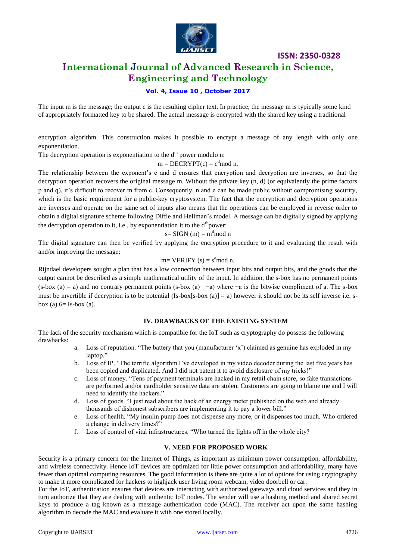

### **International Journal of Advanced Research in Science, Engineering and Technology**

### **Vol. 4, Issue 10 , October 2017**

The input m is the message; the output c is the resulting cipher text. In practice, the message m is typically some kind of appropriately formatted key to be shared. The actual message is encrypted with the shared key using a traditional

encryption algorithm. This construction makes it possible to encrypt a message of any length with only one exponentiation.

The decryption operation is exponentiation to the  $d<sup>th</sup>$  power modulo n:

 $m = DECRYPT(c) = c<sup>d</sup>mod n$ .

The relationship between the exponent's e and d ensures that encryption and decryption are inverses, so that the decryption operation recovers the original message m. Without the private key (n, d) (or equivalently the prime factors p and q), it's difficult to recover m from c. Consequently, n and e can be made public without compromising security, which is the basic requirement for a public-key cryptosystem. The fact that the encryption and decryption operations are inverses and operate on the same set of inputs also means that the operations can be employed in reverse order to obtain a digital signature scheme following Diffie and Hellman"s model. A message can be digitally signed by applying the decryption operation to it, i.e., by exponentiation it to the  $d<sup>th</sup>$ power:

 $s=$  SIGN (m) = m<sup>d</sup>mod n

The digital signature can then be verified by applying the encryption procedure to it and evaluating the result with and/or improving the message:

#### m= VERIFY  $(s) = s^e \mod n$ .

Rijndael developers sought a plan that has a low connection between input bits and output bits, and the goods that the output cannot be described as a simple mathematical utility of the input. In addition, the s-box has no permanent points  $(s-box (a) = a)$  and no contrary permanent points  $(s-box (a) = -a)$  where  $-a$  is the bitwise compliment of a. The s-box must be invertible if decryption is to be potential  $(Is-box[s-box (a)] = a)$  however it should not be its self inverse i.e. sbox (a)  $6=$  Is-box (a).

#### **IV. DRAWBACKS OF THE EXISTING SYSTEM**

The lack of the security mechanism which is compatible for the IoT such as cryptography do possess the following drawbacks:

- a. Loss of reputation. "The battery that you (manufacturer "x") claimed as genuine has exploded in my laptop."
- b. Loss of IP. "The terrific algorithm I"ve developed in my video decoder during the last five years has been copied and duplicated. And I did not patent it to avoid disclosure of my tricks!"
- c. Loss of money. "Tens of payment terminals are hacked in my retail chain store, so fake transactions are performed and/or cardholder sensitive data are stolen. Customers are going to blame me and I will need to identify the hackers."
- d. Loss of goods. "I just read about the hack of an energy meter published on the web and already thousands of dishonest subscribers are implementing it to pay a lower bill."
- e. Loss of health. "My insulin pump does not dispense any more, or it dispenses too much. Who ordered a change in delivery times?"
- f. Loss of control of vital infrastructures. "Who turned the lights off in the whole city?

### **V. NEED FOR PROPOSED WORK**

Security is a primary concern for the Internet of Things, as important as minimum power consumption, affordability, and wireless connectivity. Hence IoT devices are optimized for little power consumption and affordability, many have fewer than optimal computing resources. The good information is there are quite a lot of options for using cryptography to make it more complicated for hackers to highjack user living room webcam, video doorbell or car.

For the IoT, authentication ensures that devices are interacting with authorized gateways and cloud services and they in turn authorize that they are dealing with authentic IoT nodes. The sender will use a hashing method and shared secret keys to produce a tag known as a message authentication code (MAC). The receiver act upon the same hashing algorithm to decode the MAC and evaluate it with one stored locally.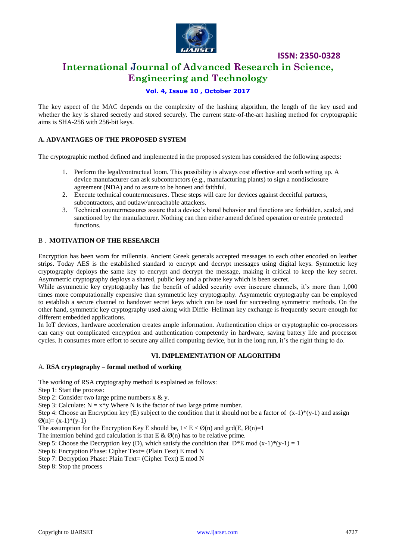

### **International Journal of Advanced Research in Science, Engineering and Technology**

### **Vol. 4, Issue 10 , October 2017**

The key aspect of the MAC depends on the complexity of the hashing algorithm, the length of the key used and whether the key is shared secretly and stored securely. The current state-of-the-art hashing method for cryptographic aims is SHA-256 with 256-bit keys.

### **A. ADVANTAGES OF THE PROPOSED SYSTEM**

The cryptographic method defined and implemented in the proposed system has considered the following aspects:

- 1. Perform the legal/contractual loom. This possibility is always cost effective and worth setting up. A device manufacturer can ask subcontractors (e.g., manufacturing plants) to sign a nondisclosure agreement (NDA) and to assure to be honest and faithful.
- 2. Execute technical countermeasures. These steps will care for devices against deceitful partners, subcontractors, and outlaw/unreachable attackers.
- 3. Technical countermeasures assure that a device"s banal behavior and functions are forbidden, sealed, and sanctioned by the manufacturer. Nothing can then either amend defined operation or entrée protected functions.

### B . **MOTIVATION OF THE RESEARCH**

Encryption has been worn for millennia. Ancient Greek generals accepted messages to each other encoded on leather strips. Today AES is the established standard to encrypt and decrypt messages using digital keys. Symmetric key cryptography deploys the same key to encrypt and decrypt the message, making it critical to keep the key secret. Asymmetric cryptography deploys a shared, public key and a private key which is been secret.

While asymmetric key cryptography has the benefit of added security over insecure channels, it's more than 1,000 times more computationally expensive than symmetric key cryptography. Asymmetric cryptography can be employed to establish a secure channel to handover secret keys which can be used for succeeding symmetric methods. On the other hand, symmetric key cryptography used along with Diffie–Hellman key exchange is frequently secure enough for different embedded applications.

In IoT devices, hardware acceleration creates ample information. Authentication chips or cryptographic co-processors can carry out complicated encryption and authentication competently in hardware, saving battery life and processor cycles. It consumes more effort to secure any allied computing device, but in the long run, it"s the right thing to do.

### **VI. IMPLEMENTATION OF ALGORITHM**

### A. **RSA cryptography – formal method of working**

The working of RSA cryptography method is explained as follows:

Step 1: Start the process:

Step 2: Consider two large prime numbers  $x \& y$ .

Step 3: Calculate:  $N = x*y$  Where N is the factor of two large prime number.

Step 4: Choose an Encryption key (E) subject to the condition that it should not be a factor of  $(x-1)*(y-1)$  and assign  $\varnothing$ (n)= (x-1)\*(y-1)

The assumption for the Encryption Key E should be,  $1 \lt E \lt \mathcal{O}(n)$  and  $gcd(E, \mathcal{O}(n)=1$ 

The intention behind gcd calculation is that  $E \& \emptyset(n)$  has to be relative prime.

Step 5: Choose the Decryption key (D), which satisfy the condition that  $D*E \mod (x-1)*(y-1)=1$ 

Step 6: Encryption Phase: Cipher Text= (Plain Text) E mod N

Step 7: Decryption Phase: Plain Text= (Cipher Text) E mod N

Step 8: Stop the process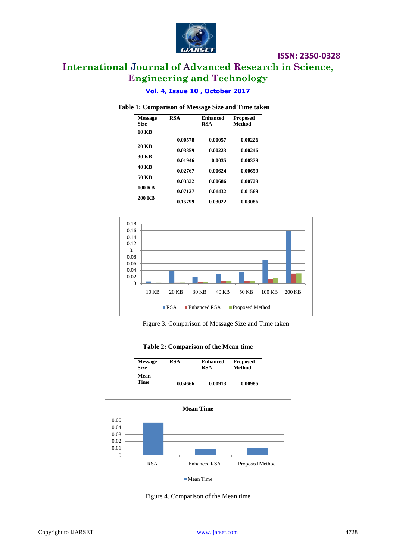

### **International Journal of Advanced Research in Science, Engineering and Technology**

### **Vol. 4, Issue 10 , October 2017**

### **Table 1: Comparison of Message Size and Time taken**

| <b>Message</b><br><b>Size</b> | <b>RSA</b> | <b>Enhanced</b><br>RSA | Proposed<br><b>Method</b> |
|-------------------------------|------------|------------------------|---------------------------|
| <b>10 KB</b>                  |            |                        |                           |
|                               | 0.00578    | 0.00057                | 0.00226                   |
| <b>20 KB</b>                  | 0.03859    | 0.00223                | 0.00246                   |
| <b>30 KB</b>                  | 0.01946    | 0.0035                 | 0.00379                   |
| <b>40 KB</b>                  | 0.02767    | 0.00624                | 0.00659                   |
| 50 KB                         | 0.03322    | 0.00686                | 0.00729                   |
| <b>100 KB</b>                 | 0.07127    | 0.01432                | 0.01569                   |
| <b>200 KB</b>                 | 0.15799    | 0.03022                | 0.03086                   |



Figure 3. Comparison of Message Size and Time taken

### **Table 2: Comparison of the Mean time**

| <b>Message</b> | <b>RSA</b> | <b>Enhanced</b> | <b>Proposed</b> |
|----------------|------------|-----------------|-----------------|
| <b>Size</b>    |            | <b>RSA</b>      | <b>Method</b>   |
| Mean<br>Time   | 0.04666    | 0.00913         | 0.00985         |



Figure 4. Comparison of the Mean time